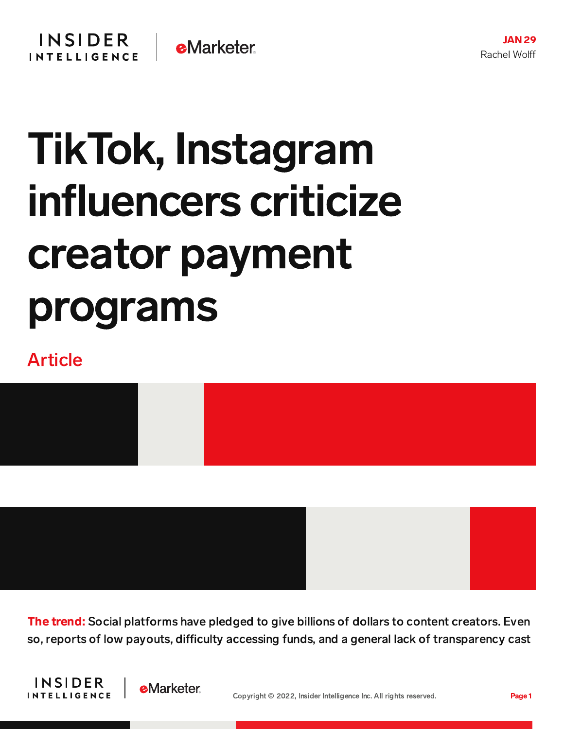## TikTok, Instagram influencers criticize creator payment programs

## Article



The trend: Social platforms have pledged to give billions of dollars to content creators. Even so, reports of low payouts, difficulty accessing funds, and a general lack of transparency cast



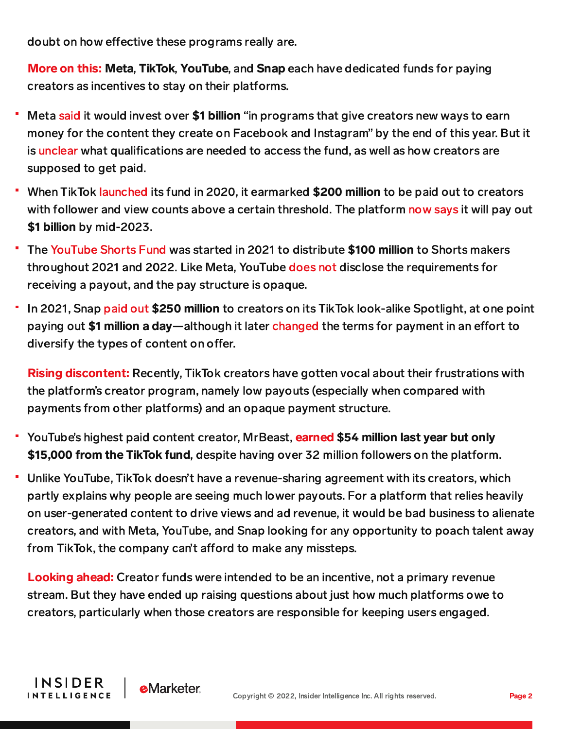doubt on how effective these programs really are.

More on this: Meta, TikTok, YouTube, and Snap each have dedicated funds for paying creators as incentives to stay on their platforms.

- Meta [said](https://about.fb.com/news/2021/07/investing-1-billion-dollars-in-creators/) it would invest over \$1 billion "in programs that give creators new ways to earn money for the content they create on Facebook and Instagram" by the end of this year. But it is [unclear](https://www.adweek.com/media/creators-dont-know-how-to-access-instagram-fund/) what qualifications are needed to access the fund, as well as how creators are supposed to get paid.
- When TikTok [launched](https://www.theverge.com/2020/8/10/21362060/tiktok-creators-fund-recipients-david-dobrik-brittany-tomlinson-youtube-adsense) its fund in 2020, it earmarked \$200 million to be paid out to creators with follower and view counts above a certain threshold. The platform now [says](https://www.theinformation.com/articles/tiktok-creators-air-grievance-over-fund-payouts?rc=2ahtrk) it will pay out \$1 billion by mid-2023.
- The [YouTube](https://blog.youtube/news-and-events/introducing-youtube-shorts-fund/) Shorts Fund was started in 2021 to distribute \$100 million to Shorts makers throughout 2021 and 2022. Like Meta, YouTube [does](https://support.google.com/youtube/answer/10923658?hl=en#zippy=,how-do-i-qualify-for-the-shorts-fund) not disclose the requirements for receiving a payout, and the pay structure is opaque.
- In 2021, Snap [paid](https://techcrunch.com/2021/12/14/snap-paid-250-million-to-creators-on-its-tiktok-clone-this-year/) out \$250 million to creators on its TikTok look-alike Spotlight, at one point paying out \$1 million a day—although it later [changed](https://variety.com/2021/digital/news/snapchat-spotlight-copycat-content-spiegel-1235071625/) the terms for payment in an effort to diversify the types of content on offer.

**Rising discontent:** Recently, TikTok creators have gotten vocal about their frustrations with the platform's creator program, namely low payouts (especially when compared with payments from other platforms) and an opaque payment structure.

- YouTube's highest paid content creator, MrBeast, **[earned](https://www.forbes.com/sites/abrambrown/2022/01/14/the-highest-paid-youtube-stars-mrbeast-jake-paul-and-markiplier-score-massive-paydays/?sh=356b98061aa7) \$54 million last year but only** \$15,000 from the TikTok fund, despite having over 32 million followers on the platform.
- Unlike YouTube, TikTok doesn't have a revenue-sharing agreement with its creators, which partly explains why people are seeing much lower payouts. For a platform that relies heavily on user-generated content to drive views and ad revenue, it would be bad business to alienate creators, and with Meta, YouTube, and Snap looking for any opportunity to poach talent away from TikTok, the company can't afford to make any missteps.

Looking ahead: Creator funds were intended to be an incentive, not a primary revenue stream. But they have ended up raising questions about just how much platforms owe to creators, particularly when those creators are responsible for keeping users engaged.

**INSIDER** 

**INTELLIGENCE** 

**e**Marketer